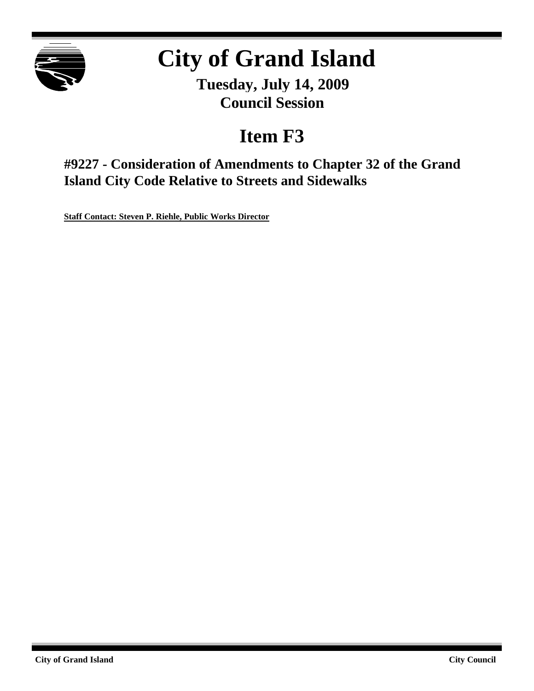

# **City of Grand Island**

**Tuesday, July 14, 2009 Council Session**

## **Item F3**

**#9227 - Consideration of Amendments to Chapter 32 of the Grand Island City Code Relative to Streets and Sidewalks**

**Staff Contact: Steven P. Riehle, Public Works Director**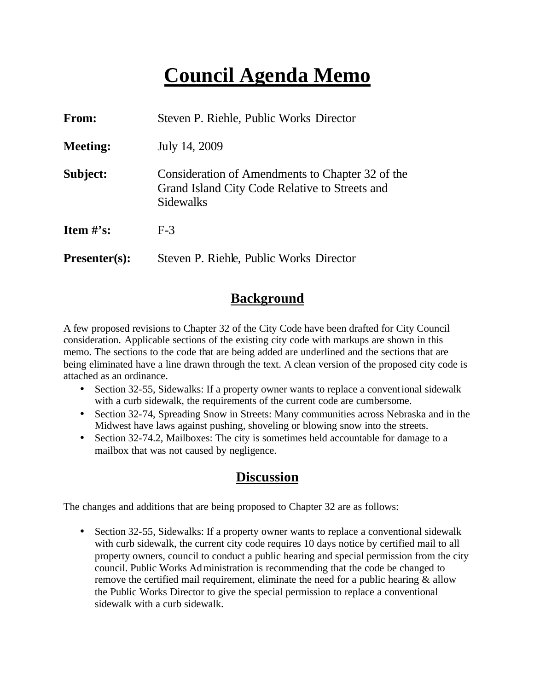## **Council Agenda Memo**

| From:           | Steven P. Riehle, Public Works Director                                                                         |
|-----------------|-----------------------------------------------------------------------------------------------------------------|
| <b>Meeting:</b> | July 14, 2009                                                                                                   |
| Subject:        | Consideration of Amendments to Chapter 32 of the<br>Grand Island City Code Relative to Streets and<br>Sidewalks |
| Item $\#$ 's:   | $F-3$                                                                                                           |
| $Presenter(s):$ | Steven P. Riehle, Public Works Director                                                                         |

### **Background**

A few proposed revisions to Chapter 32 of the City Code have been drafted for City Council consideration. Applicable sections of the existing city code with markups are shown in this memo. The sections to the code that are being added are underlined and the sections that are being eliminated have a line drawn through the text. A clean version of the proposed city code is attached as an ordinance.

- Section 32-55, Sidewalks: If a property owner wants to replace a conventional sidewalk with a curb sidewalk, the requirements of the current code are cumbersome.
- Section 32-74, Spreading Snow in Streets: Many communities across Nebraska and in the Midwest have laws against pushing, shoveling or blowing snow into the streets.
- Section 32-74.2, Mailboxes: The city is sometimes held accountable for damage to a mailbox that was not caused by negligence.

### **Discussion**

The changes and additions that are being proposed to Chapter 32 are as follows:

• Section 32-55, Sidewalks: If a property owner wants to replace a conventional sidewalk with curb sidewalk, the current city code requires 10 days notice by certified mail to all property owners, council to conduct a public hearing and special permission from the city council. Public Works Administration is recommending that the code be changed to remove the certified mail requirement, eliminate the need for a public hearing  $\&$  allow the Public Works Director to give the special permission to replace a conventional sidewalk with a curb sidewalk.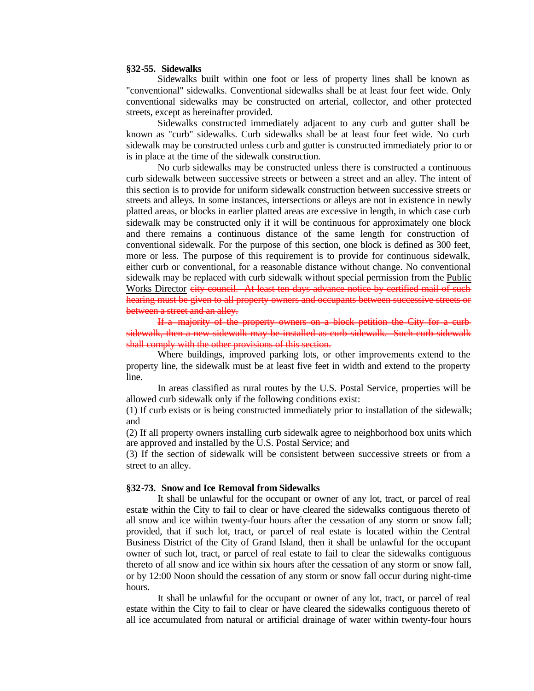#### **§32-55. Sidewalks**

Sidewalks built within one foot or less of property lines shall be known as "conventional" sidewalks. Conventional sidewalks shall be at least four feet wide. Only conventional sidewalks may be constructed on arterial, collector, and other protected streets, except as hereinafter provided.

Sidewalks constructed immediately adjacent to any curb and gutter shall be known as "curb" sidewalks. Curb sidewalks shall be at least four feet wide. No curb sidewalk may be constructed unless curb and gutter is constructed immediately prior to or is in place at the time of the sidewalk construction.

No curb sidewalks may be constructed unless there is constructed a continuous curb sidewalk between successive streets or between a street and an alley. The intent of this section is to provide for uniform sidewalk construction between successive streets or streets and alleys. In some instances, intersections or alleys are not in existence in newly platted areas, or blocks in earlier platted areas are excessive in length, in which case curb sidewalk may be constructed only if it will be continuous for approximately one block and there remains a continuous distance of the same length for construction of conventional sidewalk. For the purpose of this section, one block is defined as 300 feet, more or less. The purpose of this requirement is to provide for continuous sidewalk, either curb or conventional, for a reasonable distance without change. No conventional sidewalk may be replaced with curb sidewalk without special permission from the Public Works Director city council. At least ten days advance notice by certified mail of such hearing must be given to all property owners and occupants between successive streets or between a street and an alley.

If a majority of the property owners on a block petition the City for a curb sidewalk, then a new sidewalk may be installed as curb sidewalk. Such curb sidewalk shall comply with the other provisions of this section.

Where buildings, improved parking lots, or other improvements extend to the property line, the sidewalk must be at least five feet in width and extend to the property line.

In areas classified as rural routes by the U.S. Postal Service, properties will be allowed curb sidewalk only if the following conditions exist:

(1) If curb exists or is being constructed immediately prior to installation of the sidewalk; and

(2) If all property owners installing curb sidewalk agree to neighborhood box units which are approved and installed by the U.S. Postal Service; and

(3) If the section of sidewalk will be consistent between successive streets or from a street to an alley.

#### **§32-73. Snow and Ice Removal from Sidewalks**

It shall be unlawful for the occupant or owner of any lot, tract, or parcel of real estate within the City to fail to clear or have cleared the sidewalks contiguous thereto of all snow and ice within twenty-four hours after the cessation of any storm or snow fall; provided, that if such lot, tract, or parcel of real estate is located within the Central Business District of the City of Grand Island, then it shall be unlawful for the occupant owner of such lot, tract, or parcel of real estate to fail to clear the sidewalks contiguous thereto of all snow and ice within six hours after the cessation of any storm or snow fall, or by 12:00 Noon should the cessation of any storm or snow fall occur during night-time hours.

It shall be unlawful for the occupant or owner of any lot, tract, or parcel of real estate within the City to fail to clear or have cleared the sidewalks contiguous thereto of all ice accumulated from natural or artificial drainage of water within twenty-four hours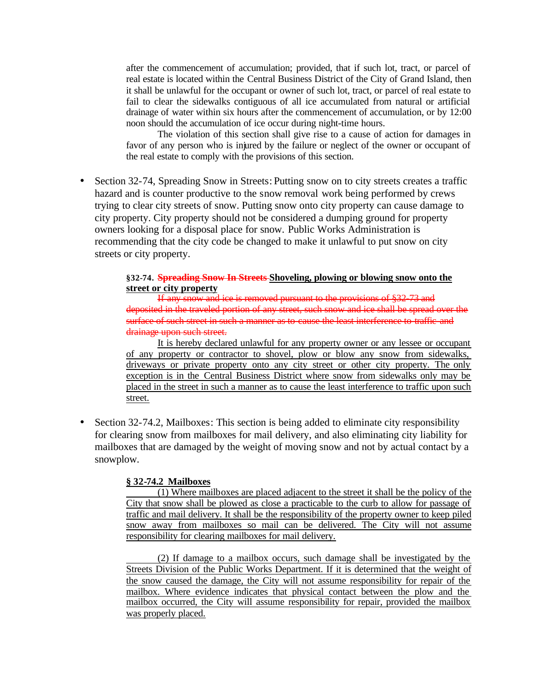after the commencement of accumulation; provided, that if such lot, tract, or parcel of real estate is located within the Central Business District of the City of Grand Island, then it shall be unlawful for the occupant or owner of such lot, tract, or parcel of real estate to fail to clear the sidewalks contiguous of all ice accumulated from natural or artificial drainage of water within six hours after the commencement of accumulation, or by 12:00 noon should the accumulation of ice occur during night-time hours.

The violation of this section shall give rise to a cause of action for damages in favor of any person who is injured by the failure or neglect of the owner or occupant of the real estate to comply with the provisions of this section.

• Section 32-74, Spreading Snow in Streets: Putting snow on to city streets creates a traffic hazard and is counter productive to the snow removal work being performed by crews trying to clear city streets of snow. Putting snow onto city property can cause damage to city property. City property should not be considered a dumping ground for property owners looking for a disposal place for snow. Public Works Administration is recommending that the city code be changed to make it unlawful to put snow on city streets or city property.

### **§32-74. Spreading Snow In Streets Shoveling, plowing or blowing snow onto the street or city property**

If any snow and ice is removed pursuant to the provisions of §32-73 and deposited in the traveled portion of any street, such snow and ice shall be spread over the surface of such street in such a manner as to cause the least interference to traffic and drainage upon such street.

It is hereby declared unlawful for any property owner or any lessee or occupant of any property or contractor to shovel, plow or blow any snow from sidewalks, driveways or private property onto any city street or other city property. The only exception is in the Central Business District where snow from sidewalks only may be placed in the street in such a manner as to cause the least interference to traffic upon such street.

• Section 32-74.2, Mailboxes: This section is being added to eliminate city responsibility for clearing snow from mailboxes for mail delivery, and also eliminating city liability for mailboxes that are damaged by the weight of moving snow and not by actual contact by a snowplow.

### **§ 32-74.2 Mailboxes**

(1) Where mailboxes are placed adjacent to the street it shall be the policy of the City that snow shall be plowed as close a practicable to the curb to allow for passage of traffic and mail delivery. It shall be the responsibility of the property owner to keep piled snow away from mailboxes so mail can be delivered. The City will not assume responsibility for clearing mailboxes for mail delivery.

(2) If damage to a mailbox occurs, such damage shall be investigated by the Streets Division of the Public Works Department. If it is determined that the weight of the snow caused the damage, the City will not assume responsibility for repair of the mailbox. Where evidence indicates that physical contact between the plow and the mailbox occurred, the City will assume responsibility for repair, provided the mailbox was properly placed.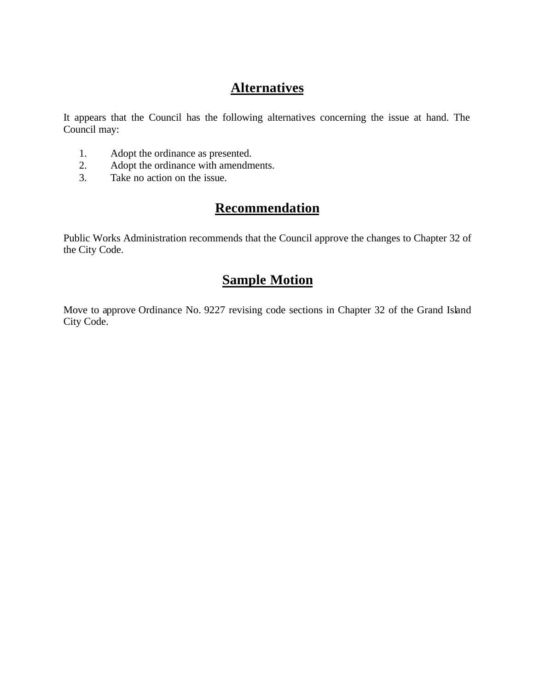### **Alternatives**

It appears that the Council has the following alternatives concerning the issue at hand. The Council may:

- 1. Adopt the ordinance as presented.
- 2. Adopt the ordinance with amendments.
- 3. Take no action on the issue.

### **Recommendation**

Public Works Administration recommends that the Council approve the changes to Chapter 32 of the City Code.

### **Sample Motion**

Move to approve Ordinance No. 9227 revising code sections in Chapter 32 of the Grand Island City Code.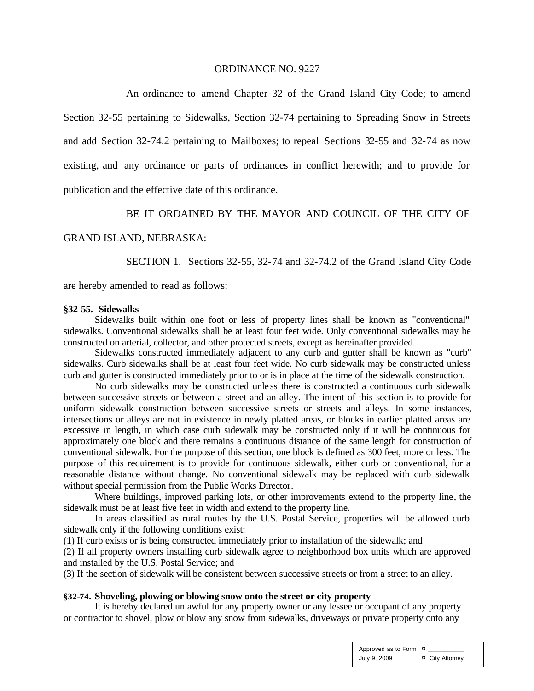#### ORDINANCE NO. 9227

An ordinance to amend Chapter 32 of the Grand Island City Code; to amend Section 32-55 pertaining to Sidewalks, Section 32-74 pertaining to Spreading Snow in Streets and add Section 32-74.2 pertaining to Mailboxes; to repeal Sections 32-55 and 32-74 as now existing, and any ordinance or parts of ordinances in conflict herewith; and to provide for publication and the effective date of this ordinance.

### BE IT ORDAINED BY THE MAYOR AND COUNCIL OF THE CITY OF

#### GRAND ISLAND, NEBRASKA:

SECTION 1. Sections 32-55, 32-74 and 32-74.2 of the Grand Island City Code

are hereby amended to read as follows:

#### **§32-55. Sidewalks**

Sidewalks built within one foot or less of property lines shall be known as "conventional" sidewalks. Conventional sidewalks shall be at least four feet wide. Only conventional sidewalks may be constructed on arterial, collector, and other protected streets, except as hereinafter provided.

Sidewalks constructed immediately adjacent to any curb and gutter shall be known as "curb" sidewalks. Curb sidewalks shall be at least four feet wide. No curb sidewalk may be constructed unless curb and gutter is constructed immediately prior to or is in place at the time of the sidewalk construction.

No curb sidewalks may be constructed unle ss there is constructed a continuous curb sidewalk between successive streets or between a street and an alley. The intent of this section is to provide for uniform sidewalk construction between successive streets or streets and alleys. In some instances, intersections or alleys are not in existence in newly platted areas, or blocks in earlier platted areas are excessive in length, in which case curb sidewalk may be constructed only if it will be continuous for approximately one block and there remains a continuous distance of the same length for construction of conventional sidewalk. For the purpose of this section, one block is defined as 300 feet, more or less. The purpose of this requirement is to provide for continuous sidewalk, either curb or conventio nal, for a reasonable distance without change. No conventional sidewalk may be replaced with curb sidewalk without special permission from the Public Works Director.

Where buildings, improved parking lots, or other improvements extend to the property line, the sidewalk must be at least five feet in width and extend to the property line.

In areas classified as rural routes by the U.S. Postal Service, properties will be allowed curb sidewalk only if the following conditions exist:

(1) If curb exists or is being constructed immediately prior to installation of the sidewalk; and

(2) If all property owners installing curb sidewalk agree to neighborhood box units which are approved and installed by the U.S. Postal Service; and

(3) If the section of sidewalk will be consistent between successive streets or from a street to an alley.

### **§32-74. Shoveling, plowing or blowing snow onto the street or city property**

It is hereby declared unlawful for any property owner or any lessee or occupant of any property or contractor to shovel, plow or blow any snow from sidewalks, driveways or private property onto any